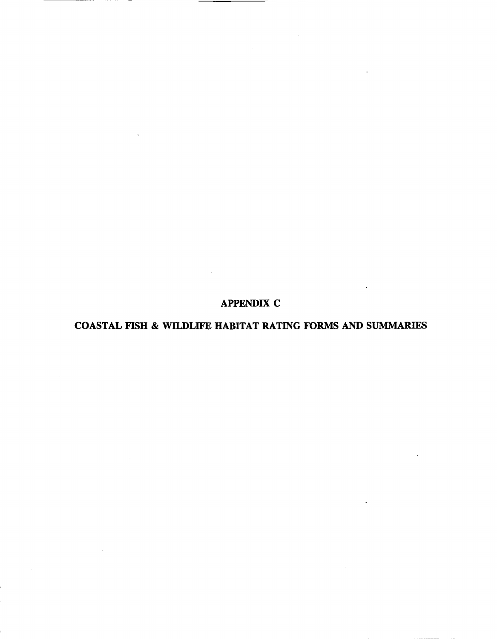# **APPENDIX C**

# **COASTAL FISH & WILDLIFE HABITAT RATING FORMS AND SUMMARIES**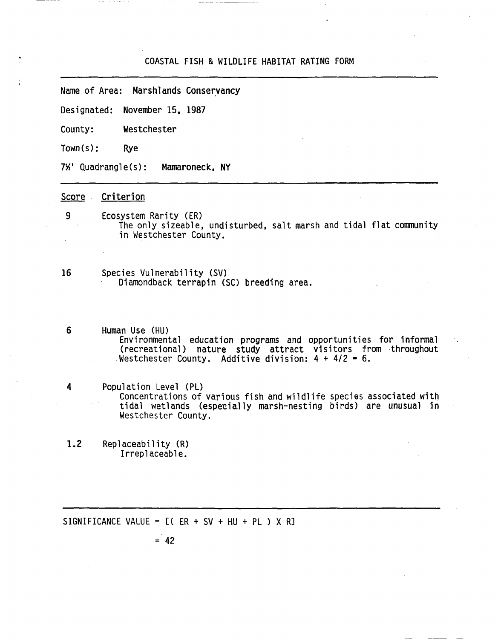#### COASTAL FISH & WILDLIFE HABITAT RATING FORM

Name of Area: Marshlands Conservancy

Designated: November 15, 1987

County: Westchester

Town(s): Rye

7%' Quadrangle(s): Mamaroneck, NY

Score Criterion

- 9 Ecosystem Rarity (ER) The only sizeable, undisturbed. salt marsh and tidal flat community in Westchester County.
- 16 Species Vulnerability (SV) Diamondback terrapin (SC) breeding area.
- <sup>6</sup> Human Use (HU) Environmental education programs and opportunities for informal (recreational) nature study attract visitors from throughout .Westchester County. Additive division:  $4 + 4/2 = 6$ .
- 4 Population Level (PL) Concentrations of various fish and wildlife species associated with tidal wetlands (especially marsh-nesting birds) are unusual in Westchester County.
- 1.2 Replaceability (R) Irreplaceable.

SIGNIFICANCE VALUE =  $[(ER + SV + HU + PL) X R]$ 

 $= 42$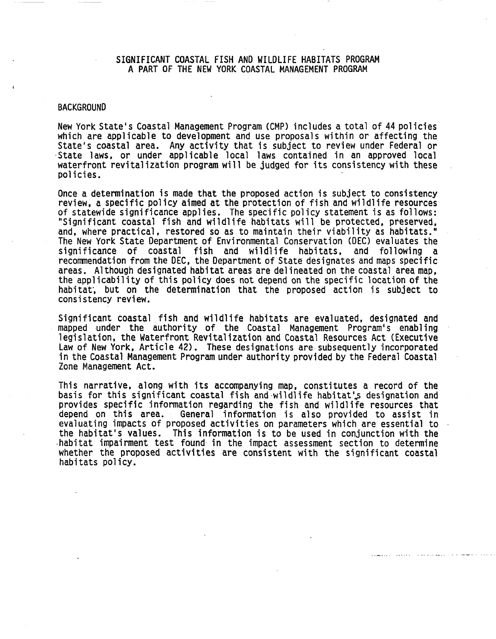# SIGNIFICANT COASTAL FISH AND WILDLIFE HABITATS PROGRAM A PART OF THE NEW YORK COASTAL MANAGEMENT PROGRAM

#### **BACKGROUND**

New York State's Coastal Management Program (CMP) includes a total of 44 policies which are applicable to development and use proposals within or affecting the State's coastal area. Any activity that is subject to review u State laws. or under applicable local laws contained in an approved local waterfront revitalization program will be judged for its consistency with these<br>policies. policies. The contract of the contract of the contract of the contract of the contract of the contract of the contract of the contract of the contract of the contract of the contract of the contract of the contract of the

Once <sup>a</sup> determination is made that the proposed action is subject to consistency review, <sup>a</sup> specific policy aimed at the protection of fish and wildlife resources of statewide significance applies. The specific policy statement is as follows: "Significant coastal fish and wildlife habitats will be protected, preserved, and, where practical, restored so as to maintain their viability as habitats." The New York State Department of Envitonmental Conservation (DEC) evaluates the significance of coastal fish and wildlife habitats, and following a recommendation from the DEC, the Department of State designates and maps specific areas. Although designated habitat areas are delineated on the coastal area map, the applicability of this policy does not depend on the specific location of the habitat, but on the determination that the proposed action is subject to consistency review.

Significant coastal fish and wildlife habitats are evaluated, designated and mapped under the authority of the Coastal Management Program's enabling legislation, the Waterfront Revitalization and Coastal Resources Act (Executive Law of New York, Article 42). These designations are subsequently incorporated in the Coastal Management Program under authority provided by the Federal Coastal Zone Management Act.

This narrative, along with its accompanying map, constitutes a record of the basis for this significant coastal fish and wildlife habitat's designation and provides specific information regarding the fish and wildlife resources that depend on this area. General information is also provided to assist in General information is also provided to assist in evaluating impacts of proposed activities on parameters which are essential to the habitat's values. This information is to be used in conjunction with the ·habitat impairment test found in the impact assessment section to determine whether the proposed activities are consistent with the significant coastal habitats policy.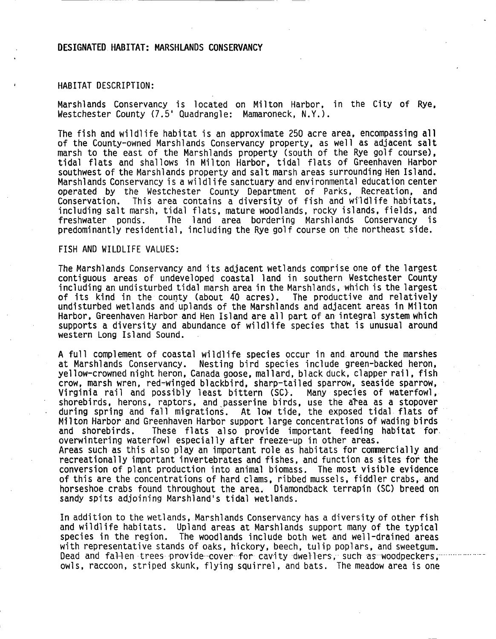### **DESIGNATED HABITAT: MARSHLANDS CONSERVANCY**

#### HABITAT DESCRIPTION:

Marshlands Conservancy is located on Milton Harbor, in the City of Rye,<br>Westchester County (7.5' Quadrangle: Mamaroneck, N.Y.).

The fish and wildlife habitat is an approximate 250 acre area, encompassing all of the County-owned Marshlands Conservancy property, as well as adjacent salt marsh to the east of the Marshlands property (south of the Rye golf course), tidal flats and shallows in Milton Harbor, tidal flats of Greenhaven Harbor southwest of the Marshlands property and salt marsh areas surrounding Hen Island. Marshlands Conservancy is a wildlife sanctuary and environmental education center<br>operated by the Westchester County Department of Parks. Recreation, and operated by the Westchester County Department of Parks, Recreation, Conservation. This area contains a diversity of fish and wildlife habitats, including salt marsh, tidal flats, mature woodlands, rocky islands, fields, and<br>freshwater ponds. The land area bordering Marshlands Conservancy is The land area bordering Marshlands Conservancy predominantly residential, including the Rye golf course on the northeast side.

#### FISH AND WILDLIFE VALUES:

The Marshlands Conservancy and its adjacent wetlands comprise one of the largest contiguous areas of undeveloped coastal land in southern Westchester County including an undisturbed tidal marsh area in the Marshlands, which is the largest<br>of its kind in the county (about 40 acres). The productive and relatively<br>undisturbed wetlands and uplands of the Marshlands and adjacent ar Harbor, Greenhaven Harbor and Hen Island are all part of an integral system which supports a diversity and abundance of wildlife species that is unusual around western Long Island Sound.

A full complement of coastal wildlife species occur in and. around the marshes at Marshlands Conservancy. Nesting bird species include green-backed heron, yellow-crowned night heron, Canada goose, mallard, black duck, clapper rail, fish<br>crow, marsh wren, red-winged blackbird, sharp-tailed sparrow, seaside sparrow, Virginia rail and possibly least bittern (SC). Many species of waterfowl, shorebirds, herons, raptors, and passerine birds, use the area as a stopover during spring and fall migrations. At low tide, the exposed tidal flats of Milton Harbor and Greenhaven Harbor support large concentrations of wading birds and shorebirds. These flats also provide important feeding habitat for. overwintering waterfowl especially after freeze-up in other areas. Areas such as this also play an important role as habitats for commercially and recreationally important invertebrates and fishes, and function as sites for the conversion of plant production into animal biomass. The most visible evidence of this are the concentrations of hard clams, ribbed mussels, fiddler crabs, and horseshoe crabs found throughout the area. Diamondback terrapin (SC) breed on sandy spits adjoining Marshland's tidal wetlands.

In addition to the wetlands, Marshlands Conservancy has a diversity of other fish species in the region. The woodlands include both wet and well-drained areas with representative stands of oaks, hickory, beech, tulip poplars, and sweetgum. Dead and fallen trees provide cover for cavity dwellers, such as woodpeckers, owls, raccoon, striped skunk, flying squirrel, and bats. The meadow area is one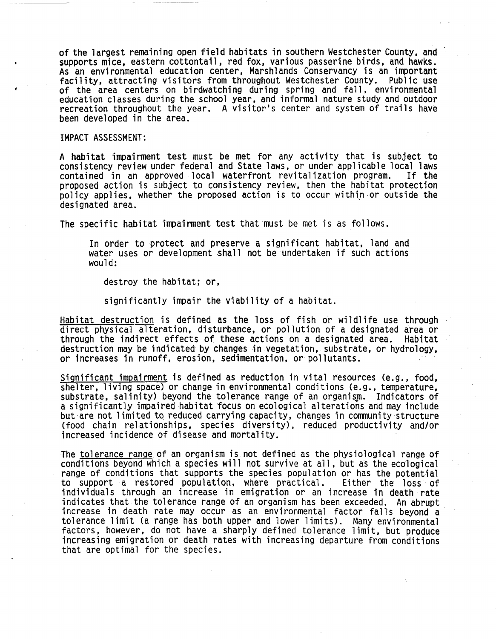of the largest remaining open field habitats in southern Westchester County, and supports mice, eastern cottontail, red fox, various passerine birds, and hawks. As an environmental education center, Marshlands Conservancy is an important facility, attracting visitors from throughout Westchester County. Public use of the area centers on birdwatching during spring and fall, environmental education classes during the school year, and informal nature study and outdoor recreation throughout the year. A visitor's center and system of trails have been developed in the area.

IMPACT ASSESSMENT:

A habitat impairment test must be met for any activity that is subject to consistency review under federal and State laws, or under applicable local laws contained in an approved local waterfront revitalization program. If the policy applies, whether the proposed action is to occur within or outside the designated area.

The specific habitat impairment test that must be met is as follows.

In order to protect and preserve a significant habitat, land and water uses or development shall not be undertaken if such actions would:

destroy the habitat; or,

significantly impair the viability of a habitat.

Habitat destruction is defined as the loss of fish or wildlife use through<br>direct physical alteration, disturbance, or pollution of a designated area or<br>through the indirect effects of these actions on a designated area. H through the indirect effects of these actions on a designated area. destruction may be indicated by changes in vegetation, substrate, or hydrology, or increases in runoff, erosion, sedimentation, or pollutants. .

Significant impairment is defined as reduction in vital resources (e.g., food, shelter, living space) or change in environmental conditions (e.g., temperature, substrate, salinity) beyond the tolerance range of an organism. Indicators of a significantly impaired habitat focus on ecological alterations and may include but·are not limited to reduced carrying capacity, changes in community structure (food chain relationships, species diversity), reduced productivity and/or increased incidence of disease and mortality.

The tolerance range of an organism is not defined as the physiological range of conditions beyond which a species will not survive at all, but as the ecological range of conditions that supports the species population or has the potential<br>to support a restored population, where practical. Either the loss of to support a restored population, where practical. individuals through an increase in emigration or an increase in death rate<br>indicates that the tolerance range of an organism has been exceeded. An abrupt increase in death rate may occur as an environmental factor falls beyond a tolerance limit (a range has both upper and lower limits). Many environmental factors, however, do not have <sup>a</sup> sharply defined tolerance limit, but produce increasing emigration or death rates with increasing departure from conditions that are optimal for the species.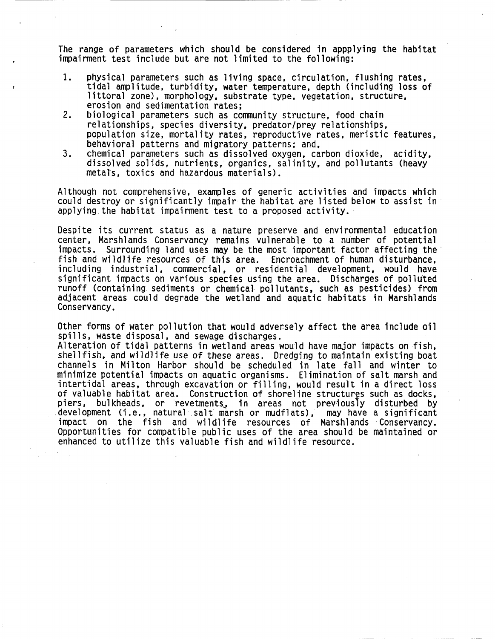The range of parameters which should be considered in appplying the habitat impairment test include but are not limited to the following:

- 1. physical parameters such as living space, circulation, flushing rates,<br>tidal amplitude, turbidity, water temperature, depth (including loss of littoral zone), morphology, substrate type, vegetation, structure, erosion and sedimentation rates;
- 2. biological parameters such as community structure, food chain population size, mortality rates, reproductive rates, meristic features, behavioral patterns and migratory patterns: and,
- 3. chemical parameters such as dissolved oxygen, carbon dioxide, acidity, dissolved solids, nutrients,' organics, salinity, and pollutants (heavy metals, toxics and hazardous materials).

Although not comprehensive, examples of generic activities and impacts which could destroy or significantly impair the habitat are listed below to assist in' applying the habitat impairment test to a proposed activity.

Despite its current status as a nature preserve and environmental education center. Marshlands Conservancy remains vulnerable to <sup>a</sup> number of potential impacts. Surrounding land uses may be the most important factor affecting the' fish and wildlife resources of this area. Encroachment of human disturbance. including industrial. commercial, or residential development. would have significant impacts on various species using the area. Discharges of polluted runoff (containing sediments or chemical pollutants. such as pesticides) from adjacent areas could degrade the wetland and aquatic habitats in Marshlands Conservancy.

Other forms of water pollution that would adversely affect the area include oil<br>spills, waste disposal, and sewage discharges.

Alteration of tidal patterns in wetland areas would have major impacts on fish. shellfish. and wildlife use of these areas. Dredging to maintain existing boat channels in Milton Harbor should be scheduled in late fall and winter to minimize potential impacts on aquatic organisms. Elimination of salt marsh and intertidal areas, through excavation or filling, would result in a direct loss<br>of valuable habitat area. Construction of shoreline structures such as docks. of valuable habitat area. Construction of shoreline structures such as docks,<br>piers, bulkheads, or revetments, in areas not previously disturbed by development (i.e., natural salt marsh or mudflats), may have a significant<br>impact on the fish and wildlife resources of Marshlands Conservancy.<br>Opportunities for compatible public uses of the area should be maintained or enhanced to utilize this valuable fish and wildlife resource.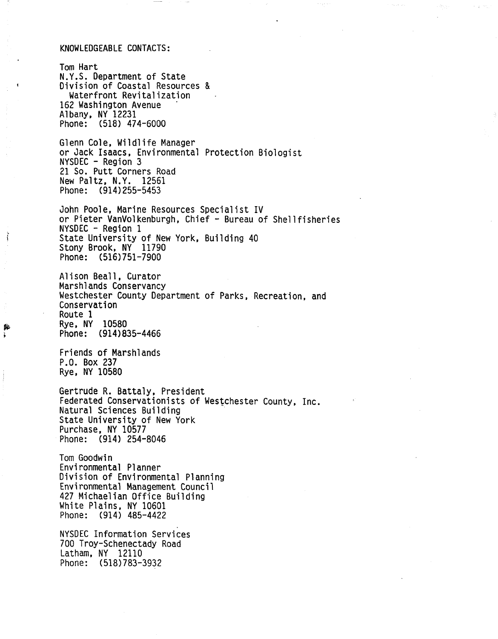#### KNOWLEDGEABLE CONTACTS:

Tom Hart N.Y.S. Department of State Division of Coastal Resources & Waterfront Revitalization 162 Washington Avenue Albany, NY 12231 Phone: (518) 474-6000

Glenn Cole, Wildlife Manager or Jack Isaacs, Environmental Protection Biologist NYSDEC - Region 3 21 So. Putt Corners Road New Paltz, N.Y. 12561 Phone: (914)255-5453

John Poole, Marine Resources Specialist IV or Pieter VanVolkenburgh, Chief - Bureau of Shellfisheries NYSDEC - Region 1 State University of New York, Building 40 Stony Brook, NY 11790 Phone: (516)751-7900

Alison Beall, Curator<br>Marshlands Conservancy Westchester County Department of Parks, Recreation, and Conservation Route 1 Rye, NY 10580 Phone: (914)835-4466

Friends of Marshlands P.O. Box 237 Rye, NY 10580

Ť

Gertrude R. Battaly, President Federated Conservationists of Westchester County, Inc.<br>Natural Sciences Building State University of New York Purchase, NY 10577 Phone: (914) 254-8046

Tom Goodwin Environmental Planner Division of Environmental Planning Environmental Management Council <sup>427</sup> Michaelian Office Building White Plains, NY <sup>10601</sup> Phone: (914) 485-4422

NYSDEC Information Services 700 Troy-Schenectady Road Latham, NY 12110 Phone: (518)783-3932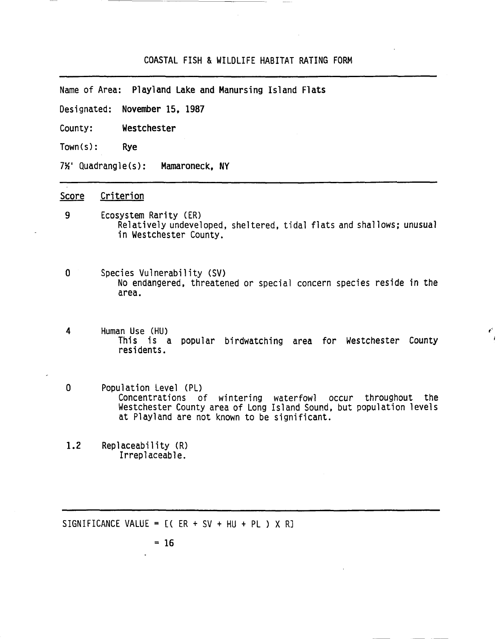### COASTAL FISH & WILDLIFE HABITAT RATING FORM

Name of Area: Playland Lake and Manursing Island Flats

Designated: November 15, 1987

County: Westchester

Town(s): Rye

7%' Quadrangle(s): Mamaroneck, NY

# Score Criterion

- 9 Ecosystem Rarity (ER) Relatively undeveloped, sheltered, tidal flats and shallows; unusual in Westchester County.
- o Species Vulnerability (SV) No endangered, threatened or special concern species reside in the area.
- <sup>4</sup> Human Use (HU) This is <sup>a</sup> popular birdwatching area for Westchester County residents.

*t'*

- o Population Level (PU Concentrations of wintering waterfowl occur throughout the Westchester County area of Long Island Sound, but population levels at Playland are not known to be significant.
- 1.2 Replaceability (R)<br>Irreplaceable.

SIGNIFICANCE VALUE =  $[(ER + SV + HU + PL) X R]$ 

 $= 16$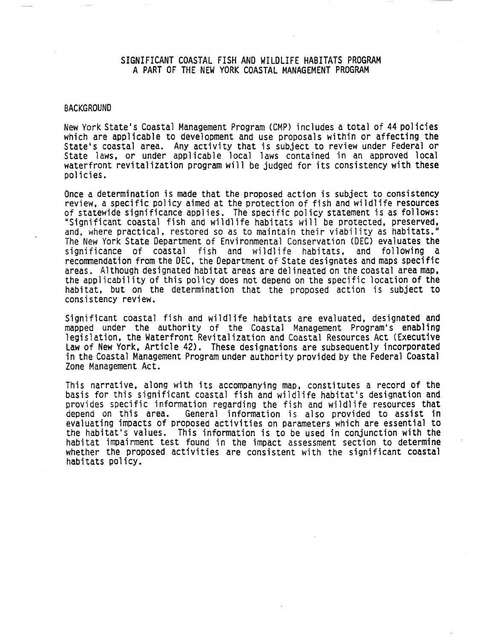# SIGNIFICANT COASTAL FISH AND WILDLIFE HABITATS PROGRAM A PART OF THE NEW YORK COASTAL MANAGEMENT PROGRAM

#### **BACKGROUND**

New York State's Coastal Management Program (CMP) includes <sup>a</sup> total of <sup>44</sup> policies which are applicable to development and use proposals within or affecting the State's coastal area. Any activity that is subject to review under Federal or State laws, or under applicable local laws contained in an approved local waterfront revitalization program will be judged for its consistency with these policies.

Once <sup>a</sup> determination is made that the proposed action is subject to consistency review, <sup>a</sup> specific policy aimed at the protection of fish and wildlife resources of statewide significance applies. The specific policy statement is as follows: "Significant coastal fish and wildlife habitats will be protected, preserved, and, where practical, restored so as to maintain their viability as habitats." The New York State Department of Environmental Conservation (DEC) evaluates the significance of coastal fish and wildlife habitats, and following a recommendation from the DEC, the Department of State designates and maps specific areas. Although designated habitat areas are delineated on the coastal area map,<br>the applicability of this policy does not depend on the specific location of the habitat, but on the determination that the proposed action is subject to consistency review.

Significant coastal fish and wildlife habitats are evaluated, designated and mapped under the authority of the Coastal Management Program's enabling<br>legislation, the Waterfront Revitalization and Coastal Resources Act (Executive Law of New York, Article 42). These designations are subsequently incorporated in the Coastal Management Program under authority provided by the Federal Coastal Zone Management Act.

This narrative, along with its accompanying map. constitutes a record of the basis for this significant coastal fish and wildlife habitat's designation and provides specific information regarding the fish and wildlife resources that depend on this area. General information is also provided to assist in General information is also provided to assist in evaluating impacts of proposed activities on parameters which are essential to the habitat's values. This information is to be used in conjunction with the habitat impairment test found in the impact assessment section to determine whether the proposed activities are consistent with the significant coastal habitats policy.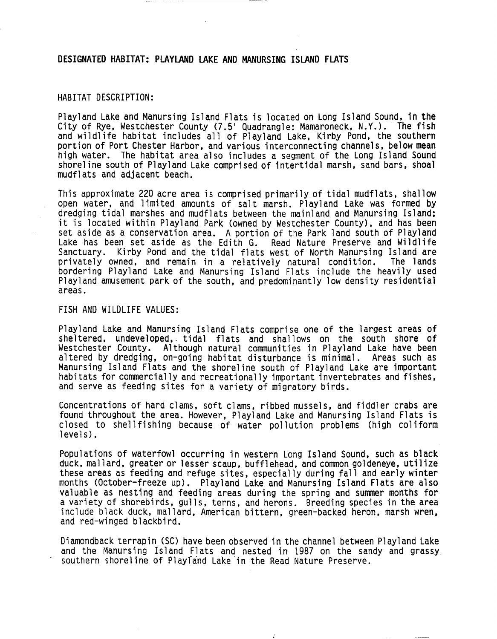### DESIGNATED HABITAT: PLAYLAND LAKE AND MANURSING ISLAND FLATS

### HABITAT DESCRIPTION:

Playland Lake and Manursing Island Flats is located on Long Island Sound. in the City of Rye, Westchester County (7.5' Quadrangle: Mamaroneck, N.Y.). The fish and wildlife habitat includes all of Playland Lake. Kirby Pond. the southern portion of Port Chester Harbor. and various interconnecting channels. below mean high water. The habitat area also includes a segment of the Long Island Sound shoreline south of Playland Lake comprised of intertidal marsh, sand bars, shoal mudflats and adjacent beach.

This approximate 220 acre area is comprised primarily of tidal mudflats, shallow open water, and limited amounts of salt marsh. Playland Lake was formed by dredging tidal marshes and mudflats between the mainland and Manursing Island; it is located within Playland Park (owned by Westchester County), and has been<br>set aside as a conservation area. A portion of the Park land south of Playland Lake has been set aside as the Edith G. Read Nature Preserve and Wildlife<br>Sanctuary. Kirby Pond and the tidal flats west of North Manursing Island are Kirby Pond and the tidal flats west of North Manursing Island are<br>wned, and remain in a relatively natural condition. The lands privately owned, and remain in a relatively natural condition. bordering Playland Lake and Manursing Island Flats include the heavily used Playland amusement park of the south. and predominantly low density residential areas.

## FISH AND WILDLIFE VALUES:

Playland Lake and Manursing Island Flats comprise one of the largest areas of sheltered, undeveloped, tidal flats and shallows on the south shore of Westchester County. Although natural communities in Playland Lake have been altered by dredging, on-going habitat disturbance is minimal. Areas such as Manursing Island Flats and the shoreline south of Playland Lake are important habitats for commercially and recreationally important invertebrates and fishes, and serve as feeding sites for a variety of migratory birds.

Concentrations of hard clams, soft clams. ribbed mussels. and fiddler crabs are found throughout the area. However. Playland Lake and Manursing Island Flats is closed to shellfishing because of water pollution problems (high coliform levels).

Populations of waterfowl occurring in western Long Island Sound. such as black duck. mallard. greater or lesser scaup. bufflehead. and common goldeneye. utilize these areas as feeding and refuge sites. especially during fall and early winter months (October-freeze up). Playland Lake and Manursing Island Flats are also valuable as nesting and feeding areas during the spring and summer months for a variety of shorebirds, gulls, terns, and herons. Breeding species in the area include black duck. mallard. American bittern. green-backed heron. marsh wren. and red-winged blackbird.

Diamondback terrapin (SC) have been observed in the channel between Playland Lake and the Manursing Island Flats and nested in 1987 on the sandy and grassy.<br>southern shoreline of Playland Lake in the Read Nature Preserve.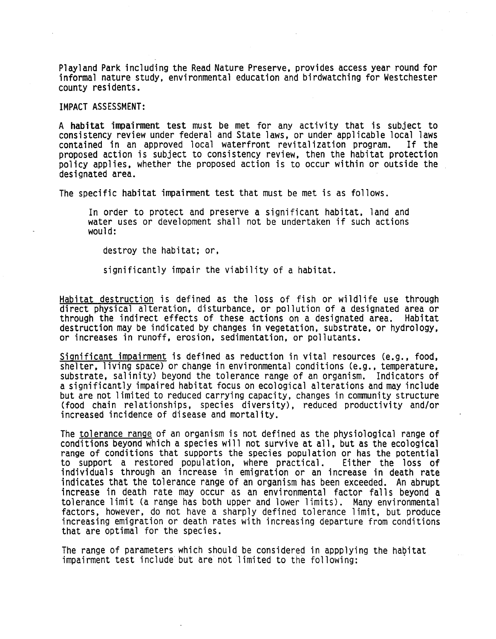Playland Park including the Read Nature Preserve. provides access year round for informal nature study. environmental education and birdwatching for Westchester county residents.

IMPACT ASSESSMENT:

A habitat impairment test must be met for any activity that is subject to consistency review under federal and State laws, or under applicable local laws<br>contained in an approved local waterfront revitalization program. If the contained in an approved local waterfront revitalization program. proposed action is subject to consistency review. then the habitat protection policy applies. whether the proposed action is to occur within or outside the designated area.

The specific habitat impairment test that must be met is as follows.

In order to protect and preserve a significant habitat. land and water uses or development shall not be undertaken if such actions would:

destroy the habitat; or.

significantly impair the viability of a habitat.

Habitat destruction is defined as the loss of fish or wildlife use through direct physical alteration. disturbance. or pollution of <sup>a</sup> designated area or through the indirect effects of these actions on a designated area. destruction may be indicated by changes in vegetation. substrate. or hydrology, or increases in runoff, erosion, sedimentation. or pollutants.

Significant impairment is defined as reduction in vital resources (e.g., food, shelter. living space) or change in environmental conditions (e.g., temperature, substrate, salinity) beyond the tolerance range of an organism. Indicators of a significantly impaired habitat focus on ecological alterations and may include but are not limited to reduced carrying capacity. changes in community structure (food chain relationships. species diversity). reduced productivity and/or increased incidence of disease and mortality.

The tolerance range of an organism is not defined as the physiological range of conditions beyond which a species will not survive at all. but as the ecological range of conditions that supports the species population or has the potential<br>to support a restored population, where practical. Either the loss of to support a restored population, where practical. individuals through an increase in emigration or an increase in death rate<br>indicates that the tolerance range of an organism has been exceeded. An abrupt increase in death rate may occur as an environmental factor falls beyond a tolerance limit (a range has both upper and lower limits). Many environmental factors. however. do not have <sup>a</sup> sharply defined tolerance limit. but produce increasing emigration or death rates with increasing departure from conditions that are optimal for the species.

The range of parameters which should be considered in appplying the habitat impairment test include but are not limited to the following: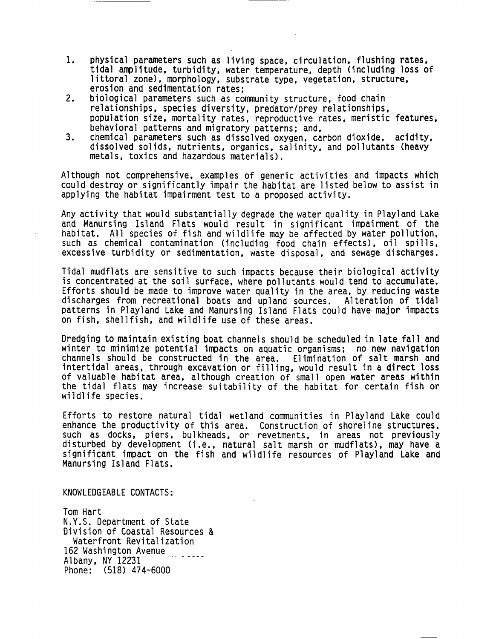- 1. physical parameters such as living space, circulation, flushing rates, tidal amplitude, turbidity, water temperature, depth (including loss of littoral zone), morphology, substrate type. vegetation, structure, erosion and sedimentation rates;
- 2. biological parameters such as community structure, food chain<br>relationships, species diversity, predator/prey relationships, population size, mortality rates, reproductive rates, meristic features, behavioral patterns and migratory patterns; and,<br>chemical parameters such as dissolved oxygen, carbon dioxide, acidity,
- 3. chemical parameters such as dissolved oxygen, carbon dioxide, acidity, dissolved solids, nutrients, organics, salinity, and pollutants (heavy metals, toxics and hazardous materials).

Although not comprehensive, examples of generic activities and impacts which could destroy or significantly impair the habitat are listed below to assist in applying the habitat impairment test to a proposed activity.

Any activity that would substantially degrade the water quality in Playland Lake and Manursing Island Flats would result in significant impairment of the habitat. All species of fish and wildlife may be affected by water pollution, such as chemical contamination (including food chain effects), oil spills, excessive turbidity or sedimentation, waste disposal, and sewage discharges.

Tidal mudflats are sensitive to such impacts because their biological activity is concentrated at the soil surface, where pollutants would tend to accumulate. Efforts should be made to improve water Quality in the area, by reducing waste discharges from recreational boats and upland sources. Alteration of tidal patterns in Playland Lake and Manursing Island Flats could have· major impacts on fish, shellfish, and wildlife use of these areas.

Dredging to maintain existing boat channels should be scheduled in late fall and<br>winter to minimize potential impacts on aquatic organisms; no new navigation channels should be constructed in the area. Elimination of salt marsh and intertidal areas, through excavation or filling, would result in a direct loss of valuable habitat area, although creation of small open water areas within the tidal flats may increase suitability of the habitat for certain fish or wildlife species.

Efforts to restore natural tidal wetland communities in Playland Lake could enhance the productivity of this area. Construction of shoreline structures, such as docks, piers, bulkheads, or revetments, in areas not previously disturbed by development (i.e., natural salt marsh or mudflats), may have <sup>a</sup> significant impact on the fish and wildlife resources of Playland Lake and Manursing Island Flats.

# KNOWLEDGEABLE CONTACTS:

Tom Hart N.Y.S. Department of State Division of Coastal Resources & Waterfront Revitalization 162 Washington Avenue Albany, NY 12231 Phone: (518) 474-6000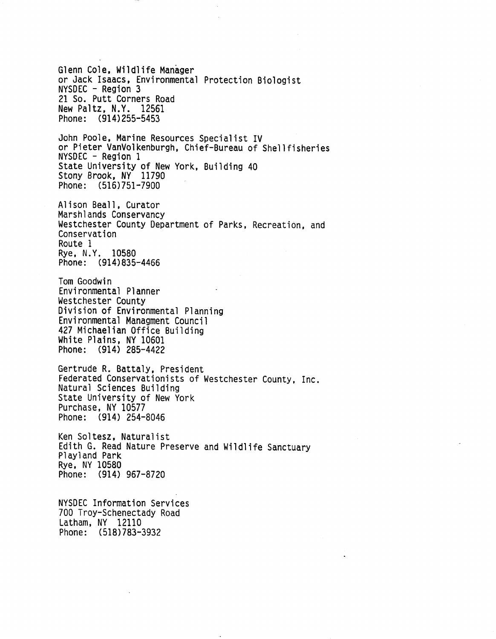Glenn Cole, Wildlife Manager or Jack Isaacs, Environmental Protection Biologist NYSDEC - Region 3 21 So. Putt Corners Road New Paltz, N.Y. 12561 Phone: (914) 255-5453 John Poole, Marine Resources Specialist IV or Pieter VanVolkenburgh, Chief-Bureau of Shellfisheries NYSDEC - Region 1 State University of New York, Building 40 Stony Brook, NY 11790 Phone: (516)751-7900 Alison Beall, Curator Westchester County Department of Parks, Recreation, and Conservation Route 1 Rye, N.Y. 10580 Phone: (914)835-4466 Tom Goodwin Environmental Planner<br>Westchester County Division of Environmental Planning<br>Environmental Managment Council <sup>427</sup> Michaelian Office Building White Plains, NY <sup>10601</sup> Phone: (914) 285-4422 Gertrude R. Battaly, President Federated Conservationists of Westchester County, Inc.<br>Natural Sciences Building State University of New York Purchase, NY 10577 Phone: (914) 254-8046 Ken Soltesz, Naturalist Edith G. Read Nature Preserve and Wildlife Sanctuary Playland Park Rye, NY 10580 Phone: (914) 967-8720 NYSDEC Information Services 700 Troy-Schenectady Road Latham. NY 12110 Phone: (518) 783-3932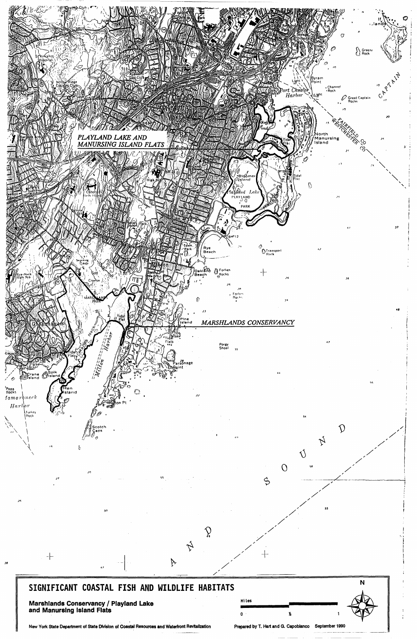

# 55 *50*  $\sum_{i=1}^{n}$ " ;/ **-, <sup>i</sup>**  $\vec{\mathcal{L}}$ " / // -+- -1-- 18  $\mathbb{P}$  /  $\mathbb{P}$  $\frac{1}{\sqrt{2}}$ **SIGNIFICANT COASTAL FISH AND WILDLIFE HABITATS**

**Marshlands Conservancy / Playland Lake and Manurslng Island Flats**

 $\boldsymbol{\mathcal{M}}$ 

New York State Department of State Division of Coastal Resources and Waterfront Revitalization Prepared by T. Hart and G. Capobianco September 1990



N

-1

 $\mathbf{i}$